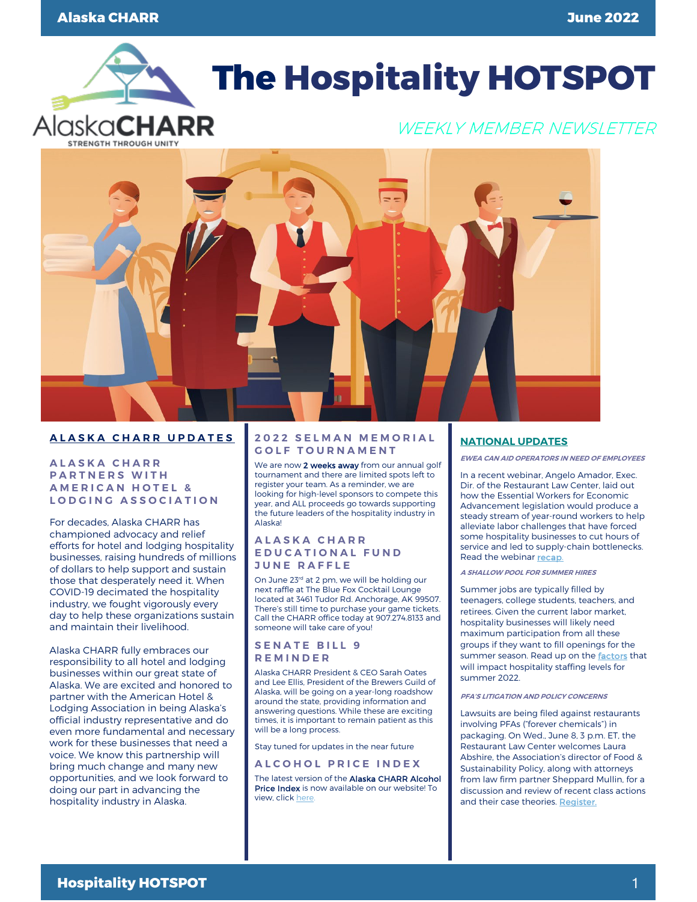

# **The Hospitality HOTSPOT**

## WEEKLY MEMBER NEWSLETTER



#### **ALASKA CHARR UPDATES**

#### **ALASKA CHARR PARTNERS WITH AMERICAN HOTEL & LODGING ASSOCIATION**

For decades, Alaska CHARR has championed advocacy and relief efforts for hotel and lodging hospitality businesses, raising hundreds of millions of dollars to help support and sustain those that desperately need it. When COVID-19 decimated the hospitality industry, we fought vigorously every day to help these organizations sustain and maintain their livelihood.

Alaska CHARR fully embraces our responsibility to all hotel and lodging businesses within our great state of Alaska. We are excited and honored to partner with the American Hotel & Lodging Association in being Alaska's official industry representative and do even more fundamental and necessary work for these businesses that need a voice. We know this partnership will bring much change and many new opportunities, and we look forward to doing our part in advancing the hospitality industry in Alaska.

#### **2022 SELMAN MEMORIAL GOLF TOURNAMENT**

We are now 2 weeks away from our annual golf tournament and there are limited spots left to register your team. As a reminder, we are looking for high-level sponsors to compete this year, and ALL proceeds go towards supporting the future leaders of the hospitality industry in Alaska!

#### **ALASKA CHARR EDUCATIONAL FUND JUNE RAFFLE**

On June 23<sup>rd</sup> at 2 pm, we will be holding our next raffle at The Blue Fox Cocktail Lounge located at 3461 Tudor Rd. Anchorage, AK 99507. There's still time to purchase your game tickets. Call the CHARR office today at 907.274.8133 and someone will take care of you!

#### **S ENATE BILL 9 REMINDER**

Alaska CHARR President & CEO Sarah Oates and Lee Ellis, President of the Brewers Guild of Alaska, will be going on a year-long roadshow around the state, providing information and answering questions. While these are exciting times, it is important to remain patient as this will be a long process.

Stay tuned for updates in the near future

#### **ALCOHOL PRICE INDEX**

The latest version of the Alaska CHARR Alcohol Price Index is now available on our website! To view, clic[k here.](https://www.alaskacharr.com/publications.html) 

#### **NATIONAL UPDATES**

**EWEA CAN AID OPERATORS IN NEED OF EMPLOYEES**

In a recent webinar, Angelo Amador, Exec. Dir. of the Restaurant Law Center, laid out how the Essential Workers for Economic Advancement legislation would produce a steady stream of year-round workers to help alleviate labor challenges that have forced some hospitality businesses to cut hours of service and led to supply-chain bottlenecks. Read the webina[r recap.](https://email.restaurant.org/MDc4LVpMQS00NjEAAAGEn-Agc92UDAV3ObDoj7yweK_rIlbcj7gL_yCqHheIqM_1v7FZ2BbVLhu8tWMiuPy1BNqVqEM=)

#### **A SHALLOW POOL FOR SUMMER HIRES**

Summer jobs are typically filled by teenagers, college students, teachers, and retirees. Given the current labor market, hospitality businesses will likely need maximum participation from all these groups if they want to fill openings for the summer season. Read up on the [factors](https://email.restaurant.org/MDc4LVpMQS00NjEAAAGEn-Agc6coPeXDrxzlWTYkWEqeUA_sqejo7pQ5tsoUr8ox5KtKNKKvBm62M-tEjHZ9DXOGPRQ=) that will impact hospitality staffing levels for summer 2022.

#### **PFA'S LITIGATION AND POLICY CONCERNS**

Lawsuits are being filed against restaurants involving PFAs ("forever chemicals") in packaging. On Wed., June 8, 3 p.m. ET, the Restaurant Law Center welcomes Laura Abshire, the Association's director of Food & Sustainability Policy, along with attorneys from law firm partner Sheppard Mullin, for a discussion and review of recent class actions and their case theories. [Register.](https://email.restaurant.org/n/MDc4LVpMQS00NjEAAAGExRt2J4HgFwZyCk8V3s5YLndzLPC9eV2m1i-wV9J1znNZNgoO3AmmMfIf8Fu69ZycM0rojQM=)